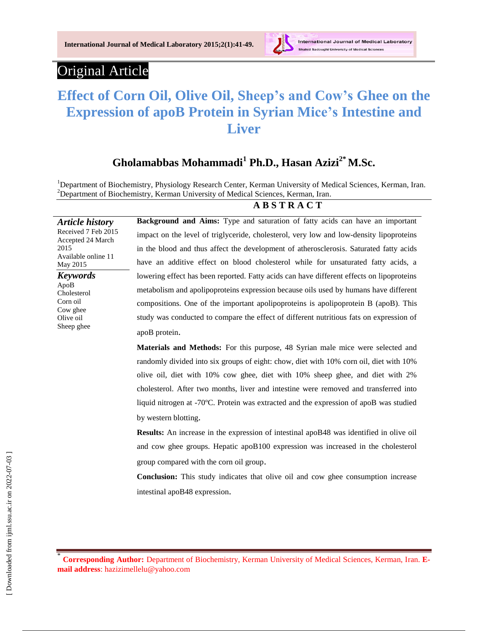**International Journal of Medical Laboratory 2015;2(1):41-49.**



International Journal of Medical Laboratory doughi University of Medical Sciences

# Original Article

*Article history* Received 7 Feb 2015 Accepted 24 March

Available online 11

2015

May 2015 *Keywords* ApoB Cholesterol Corn oil Cow ghee Olive oil Sheep ghee

# **Effect of Corn Oil, Olive Oil, Sheep's and Cow's Ghee on the Expression of apoB Protein in Syrian Mice's Intestine and Liver**

## **Gholamabbas Mohammadi<sup>1</sup> Ph.D., Hasan Azizi2\* M.Sc.**

<sup>1</sup>Department of Biochemistry, Physiology Research Center, Kerman University of Medical Sciences, Kerman, Iran.  $2$ Department of Biochemistry, Kerman University of Medical Sciences, Kerman, Iran.

#### **A B S T R A C T**

**Background and Aims:** Type and saturation of fatty acids can have an important impact on the level of triglyceride, cholesterol, very low and low-density lipoproteins in the blood and thus affect the development of atherosclerosis. Saturated fatty acids have an additive effect on blood cholesterol while for unsaturated fatty acids, a lowering effect has been reported. Fatty acids can have different effects on lipoproteins metabolism and apolipoproteins expression because oils used by humans have different compositions. One of the important apolipoproteins is apolipoprotein B (apoB). This study was conducted to compare the effect of different nutritious fats on expression of apoB protein.

**Materials and Methods:** For this purpose, 48 Syrian male mice were selected and randomly divided into six groups of eight: chow, diet with 10% corn oil, diet with 10% olive oil, diet with 10% cow ghee, diet with 10% sheep ghee, and diet with 2% cholesterol. After two months, liver and intestine were removed and transferred into liquid nitrogen at -70ºC. Protein was extracted and the expression of apoB was studied by western blotting.

**Results:** An increase in the expression of intestinal apoB48 was identified in olive oil and cow ghee groups. Hepatic apoB100 expression was increased in the cholesterol group compared with the corn oil group.

**Conclusion:** This study indicates that olive oil and cow ghee consumption increase intestinal apoB48 expression.

<sup>\*</sup> **Corresponding Author:** Department of Biochemistry, Kerman University of Medical Sciences, Kerman, Iran. **Email address**: hazizimellelu@yahoo.com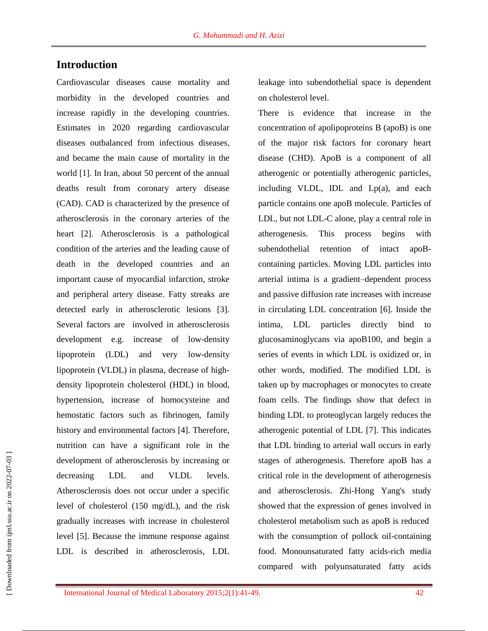## **Introduction**

Cardiovascular diseases cause mortality and morbidity in the developed countries and increase rapidly in the developing countries. Estimates in 2020 regarding cardiovascular diseases outbalanced from infectious diseases, and became the main cause of mortality in the world [1]. In Iran, about 50 percent of the annual deaths result from coronary artery disease (CAD). CAD is characterized by the presence of atherosclerosis in the coronary arteries of the heart [2]. Atherosclerosis is a pathological condition of the arteries and the leading cause of death in the developed countries and an important cause of myocardial infarction, stroke and peripheral artery disease. Fatty streaks are detected early in atherosclerotic lesions [3]. Several factors are involved in atherosclerosis development e.g. increase of low-density lipoprotein (LDL) and very low-density lipoprotein (VLDL) in plasma*,* decrease of highdensity lipoprotein cholesterol (HDL) in blood, hypertension, increase of homocysteine and hemostatic factors such as fibrinogen, family history and environmental factors [4]. Therefore, nutrition can have a significant role in the development of atherosclerosis by increasing or decreasing LDL and VLDL levels. Atherosclerosis does not occur under a specific level of cholesterol (150 mg/dL), and the risk gradually increases with increase in cholesterol level [5]. Because the immune response against LDL is described in atherosclerosis, LDL leakage into subendothelial space is dependent on cholesterol level.

There is evidence that increase in the concentration of apolipoproteins B (apoB) is one of the major risk factors for coronary heart disease (CHD). ApoB is a component of all atherogenic or potentially atherogenic particles, including VLDL, IDL and Lp(a), and each particle contains one apoB molecule. Particles of LDL, but not LDL-C alone, play a central role in atherogenesis. This process begins with subendothelial retention of intact apoBcontaining particles. Moving LDL particles into arterial intima is a gradient–dependent process and passive diffusion rate increases with increase in circulating LDL concentration [6]. Inside the intima, LDL particles directly bind to glucosaminoglycans via apoB100, and begin a series of events in which LDL is oxidized or, in other words, modified. The modified LDL is taken up by macrophages or monocytes to create foam cells. The findings show that defect in binding LDL to proteoglycan largely reduces the atherogenic potential of LDL [7]. This indicates that LDL binding to arterial wall occurs in early stages of atherogenesis. Therefore apoB has a critical role in the development of atherogenesis and [atherosclerosis.](https://www.google.com/url?sa=t&rct=j&q=&esrc=s&source=web&cd=3&cad=rja&uact=8&ved=0CDYQFjAC&url=http%3A%2F%2Fcirc.ahajournals.org%2Fcontent%2F109%2F23_suppl_1%2FIII-2.full&ei=nW1xVPaDFMrZas7tgZAO&usg=AFQjCNGygIShDhELTb-K_rUA9V4kO24u-g&sig2=7nnbbZQ36BLSgXTU6mfbHA&bvm=bv.80185997,d.d2s) Zhi-Hong Yang's study showed that the expression of genes involved in cholesterol metabolism such as apoB is reduced with the consumption of pollock oil-containing food. Monounsaturated fatty acids-rich media compared with polyunsaturated fatty acids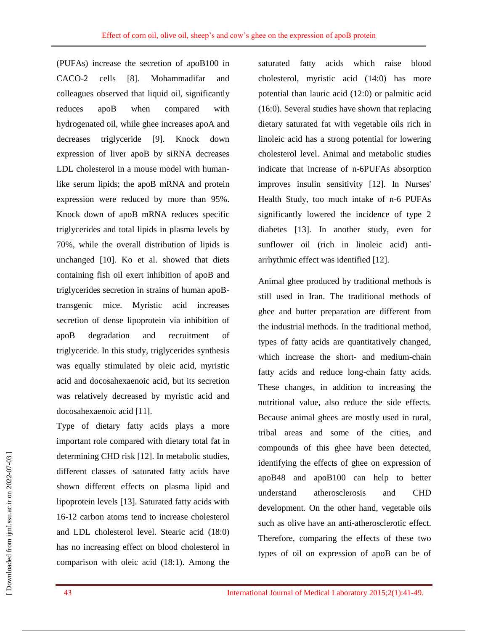(PUFAs) increase the secretion of apoB100 in CACO-2 cells [8]. Mohammadifar and colleagues observed that liquid oil, significantly reduces apoB when compared with hydrogenated oil, while ghee increases apoA and decreases triglyceride [9]. Knock down expression of liver apoB by siRNA decreases LDL cholesterol in a mouse model with humanlike serum lipids; the apoB mRNA and protein expression were reduced by more than 95%. Knock down of apoB mRNA reduces specific triglycerides and total lipids in plasma levels by 70%, while the overall distribution of lipids is unchanged [10]. Ko et al. showed that diets containing fish oil exert inhibition of apoB and triglycerides secretion in strains of human apoBtransgenic mice. Myristic acid increases secretion of dense lipoprotein via inhibition of apoB degradation and recruitment of triglyceride. In this study, triglycerides synthesis was equally stimulated by oleic acid, myristic acid and docosahexaenoic acid, but its secretion was relatively decreased by myristic acid and docosahexaenoic acid [11].

Type of dietary fatty acids plays a more important role compared with dietary total fat in determining CHD risk [12]. In metabolic studies, different classes of saturated fatty acids have shown different effects on plasma lipid and lipoprotein levels [13]. Saturated fatty acids with 16-12 carbon atoms tend to increase cholesterol and LDL cholesterol level. Stearic acid (18:0) has no increasing effect on blood cholesterol in comparison with oleic acid (18:1). Among the saturated fatty acids which raise blood cholesterol, myristic acid (14:0) has more potential than lauric acid (12:0) or palmitic acid (16:0). Several studies have shown that replacing dietary saturated fat with vegetable oils rich in linoleic acid has a strong potential for lowering cholesterol level. Animal and metabolic studies indicate that increase of n-6PUFAs absorption improves insulin sensitivity [12]. In Nurses' Health Study, too much intake of n-6 PUFAs significantly lowered the incidence of type 2 diabetes [13]. In another study, even for sunflower oil (rich in linoleic acid) antiarrhythmic effect was identified [12].

Animal ghee produced by traditional methods is still used in Iran. The traditional methods of ghee and butter preparation are different from the industrial methods. In the traditional method, types of fatty acids are quantitatively changed, which increase the short- and medium-chain fatty acids and reduce long-chain fatty acids. These changes, in addition to increasing the nutritional value, also reduce the side effects. Because animal ghees are mostly used in rural, tribal areas and some of the cities, and compounds of this ghee have been detected, identifying the effects of ghee on expression of apoB48 and apoB100 can help to better understand atherosclerosis and CHD development. On the other hand, vegetable oils such as olive have an anti-atherosclerotic effect. Therefore, comparing the effects of these two types of oil on expression of apoB can be of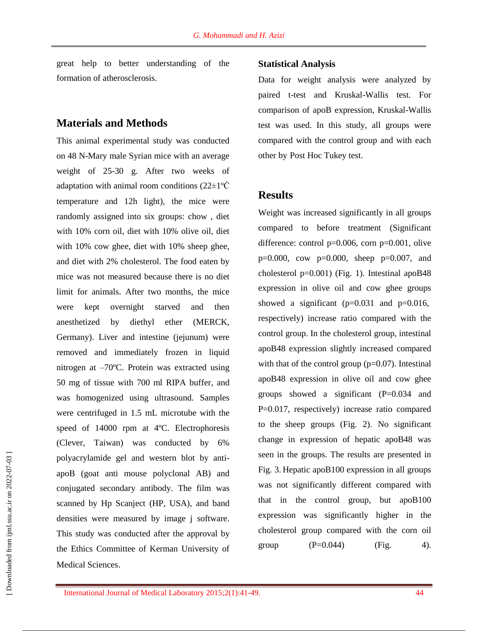great help to better understanding of the formation of atherosclerosis.

## **Materials and Methods**

This animal experimental study was conducted on 48 N-Mary male Syrian mice with an average weight of 25-30 g. After two weeks of adaptation with animal room conditions  $(22 \pm 1\degree \text{C})$ temperature and 12h light), the mice were randomly assigned into six groups: chow , diet with 10% corn oil, diet with 10% olive oil, diet with 10% cow ghee, diet with 10% sheep ghee, and diet with 2% cholesterol. The food eaten by mice was not measured because there is no diet limit for animals. After two months, the mice were kept overnight starved and then anesthetized by diethyl ether (MERCK, Germany). Liver and intestine (jejunum) were removed and immediately frozen in liquid nitrogen at –70ºC. Protein was extracted using 50 mg of tissue with 700 ml RIPA buffer, and was homogenized using ultrasound. Samples were centrifuged in 1.5 mL microtube with the speed of 14000 rpm at 4ºC. Electrophoresis (Clever, Taiwan) was conducted by 6% polyacrylamide gel and western blot by antiapoB (goat anti mouse polyclonal AB) and conjugated secondary antibody. The film was scanned by Hp Scanject (HP, USA), and band densities were measured by image j software. This study was conducted after the approval by the Ethics Committee of Kerman University of Medical Sciences.

#### **Statistical Analysis**

Data for weight analysis were analyzed by paired t-test and Kruskal-Wallis test. For comparison of apoB expression, Kruskal-Wallis test was used. In this study, all groups were compared with the control group and with each other by Post Hoc Tukey test.

### **Results**

Weight was increased significantly in all groups compared to before treatment (Significant difference: control p=0.006, corn p=0.001, olive p=0.000, cow p=0.000, sheep p=0.007, and cholesterol  $p=0.001$ ) (Fig. 1). Intestinal apoB48 expression in olive oil and cow ghee groups showed a significant  $(p=0.031$  and  $p=0.016$ , respectively) increase ratio compared with the control group. In the cholesterol group, intestinal apoB48 expression slightly increased compared with that of the control group  $(p=0.07)$ . Intestinal apoB48 expression in olive oil and cow ghee groups showed a significant (P=0.034 and P=0.017, respectively) increase ratio compared to the sheep groups (Fig. 2). No significant change in expression of hepatic apoB48 was seen in the groups. The results are presented in Fig. 3. Hepatic apoB100 expression in all groups was not significantly different compared with that in the control group, but apoB100 expression was significantly higher in the cholesterol group compared with the corn oil group  $(P=0.044)$   $(Fig. 4)$ .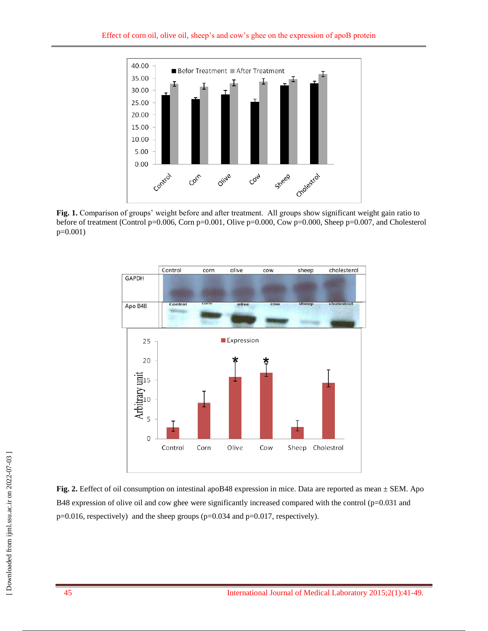

**Fig. 1.** Comparison of groups' weight before and after treatment. All groups show significant weight gain ratio to before of treatment (Control p=0.006, Corn p=0.001, Olive p=0.000, Cow p=0.000, Sheep p=0.007, and Cholesterol p=0.001)



**Fig. 2.** Eeffect of oil consumption on intestinal apoB48 expression in mice. Data are reported as mean ± SEM. Apo B48 expression of olive oil and cow ghee were significantly increased compared with the control ( $p=0.031$  and p=0.016, respectively) and the sheep groups (p=0.034 and p=0.017, respectively).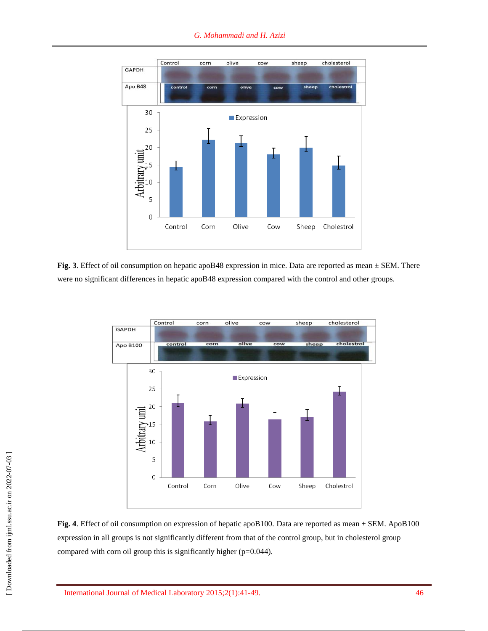

**Fig. 3**. Effect of oil consumption on hepatic apoB48 expression in mice. Data are reported as mean  $\pm$  SEM. There were no significant differences in hepatic apoB48 expression compared with the control and other groups.



**Fig. 4**. Effect of oil consumption on expression of hepatic apoB100. Data are reported as mean  $\pm$  SEM. ApoB100 expression in all groups is not significantly different from that of the control group, but in cholesterol group compared with corn oil group this is significantly higher (p=0.044).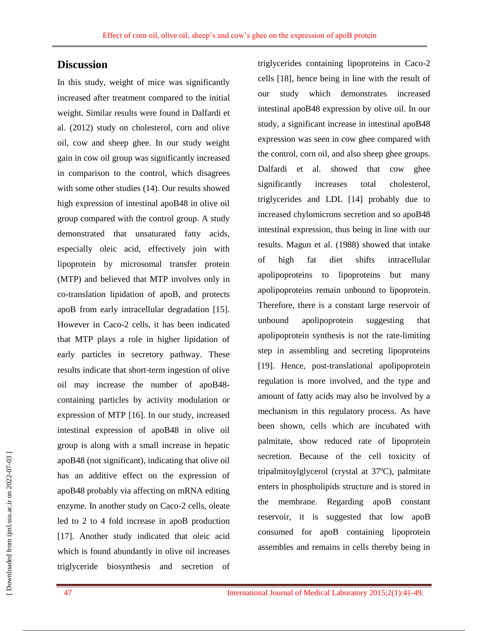## **Discussion**

In this study, weight of mice was significantly increased after treatment compared to the initial weight. Similar results were found in Dalfardi et al. (2012) study on cholesterol, corn and olive oil, cow and sheep ghee. In our study weight gain in cow oil group was significantly increased in comparison to the control, which disagrees with some other studies (14). Our results showed high expression of intestinal apoB48 in olive oil group compared with the control group. A study demonstrated that unsaturated fatty acids, especially oleic acid, effectively join with lipoprotein by microsomal transfer protein (MTP) and believed that MTP involves only in co-translation lipidation of apoB, and protects apoB from early intracellular degradation [15]. However in Caco-2 cells, it has been indicated that MTP plays a role in higher lipidation of early particles in secretory pathway. These results indicate that short-term ingestion of olive oil may increase the number of apoB48 containing particles by activity modulation or expression of MTP [16]. In our study, increased intestinal expression of apoB48 in olive oil group is along with a small increase in hepatic apoB48 (not significant), indicating that olive oil has an additive effect on the expression of apoB48 probably via affecting on mRNA editing enzyme. In another study on Caco-2 cells, oleate led to 2 to 4 fold increase in apoB production [17]. Another study indicated that oleic acid which is found abundantly in olive oil increases triglyceride biosynthesis and secretion of

triglycerides containing lipoproteins in Caco-2 cells [18], hence being in line with the result of our study which demonstrates increased intestinal apoB48 expression by olive oil. In our study, a significant increase in intestinal apoB48 expression was seen in cow ghee compared with the control, corn oil, and also sheep ghee groups. Dalfardi et al. showed that cow ghee significantly increases total cholesterol, triglycerides and LDL [14] probably due to increased chylomicrons secretion and so apoB48 intestinal expression, thus being in line with our results. Magun et al. (1988) showed that intake of high fat diet shifts intracellular apolipoproteins to lipoproteins but many apolipoproteins remain unbound to lipoprotein. Therefore, there is a constant large reservoir of unbound apolipoprotein suggesting that apolipoprotein synthesis is not the rate-limiting step in assembling and secreting lipoproteins [19]. Hence, post-translational apolipoprotein regulation is more involved, and the type and amount of fatty acids may also be involved by a mechanism in this regulatory process. As have been shown, cells which are incubated with palmitate, show reduced rate of lipoprotein secretion. Because of the cell toxicity of tripalmitoylglycerol (crystal at 37ºC), palmitate enters in phospholipids structure and is stored in the membrane. Regarding apoB constant reservoir, it is suggested that low apoB consumed for apoB containing lipoprotein assembles and remains in cells thereby being in

47 International Journal of Medical Laboratory 2015;2(1):41-49.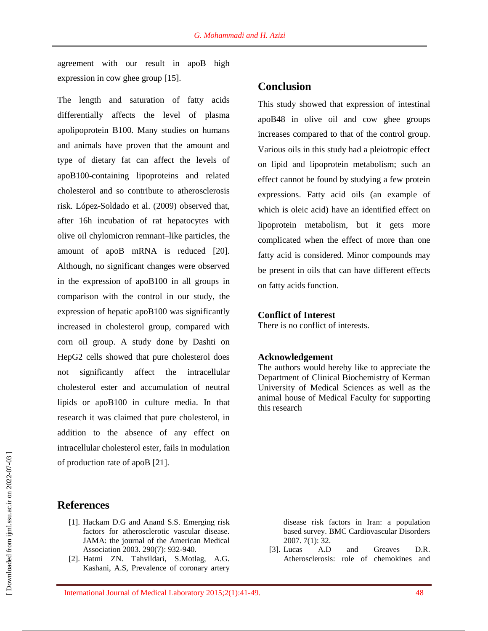agreement with our result in apoB high expression in cow ghee group [15].

The length and saturation of fatty acids differentially affects the level of plasma apolipoprotein B100. Many studies on humans and animals have proven that the amount and type of dietary fat can affect the levels of apoB100-containing lipoproteins and related cholesterol and so contribute to atherosclerosis risk. López-Soldado et al. (2009) observed that, after 16h incubation of rat hepatocytes with olive oil chylomicron remnant–like particles, the amount of apoB mRNA is reduced [20]. Although, no significant changes were observed in the expression of apoB100 in all groups in comparison with the control in our study, the expression of hepatic apoB100 was significantly increased in cholesterol group, compared with corn oil group. A study done by Dashti on HepG2 cells showed that pure cholesterol does not significantly affect the intracellular cholesterol ester and accumulation of neutral lipids or apoB100 in culture media. In that research it was claimed that pure cholesterol, in addition to the absence of any effect on intracellular cholesterol ester, fails in modulation of production rate of apoB [21].

#### **References**

- [1]. Hackam D.G and Anand S.S. Emerging risk factors for atherosclerotic vascular disease. JAMA: the journal of the American Medical Association 2003. 290(7): 932-940.
- [2]. Hatmi ZN. Tahvildari, S.Motlag, A.G. Kashani, A.S, Prevalence of coronary artery

#### **Conclusion**

This study showed that expression of intestinal apoB48 in olive oil and cow ghee groups increases compared to that of the control group. Various oils in this study had a pleiotropic effect on lipid and lipoprotein metabolism; such an effect cannot be found by studying a few protein expressions. Fatty acid oils (an example of which is oleic acid) have an identified effect on lipoprotein metabolism, but it gets more complicated when the effect of more than one fatty acid is considered. Minor compounds may be present in oils that can have different effects on fatty acids function.

#### **Conflict of Interest**

There is no conflict of interests.

#### **Acknowledgement**

The authors would hereby like to appreciate the Department of Clinical Biochemistry of Kerman University of Medical Sciences as well as the animal house of Medical Faculty for supporting this research

> disease risk factors in Iran: a population based survey. BMC Cardiovascular Disorders 2007. 7(1): 32.

[3]. Lucas A.D and Greaves D.R. Atherosclerosis: role of chemokines and

 [\[ Downloaded from ijml.ssu.ac.ir on 2022-](https://ijml.ssu.ac.ir/article-1-43-en.html)07-03 ] Downloaded from ijml.ssu.ac.ir on 2022-07-03